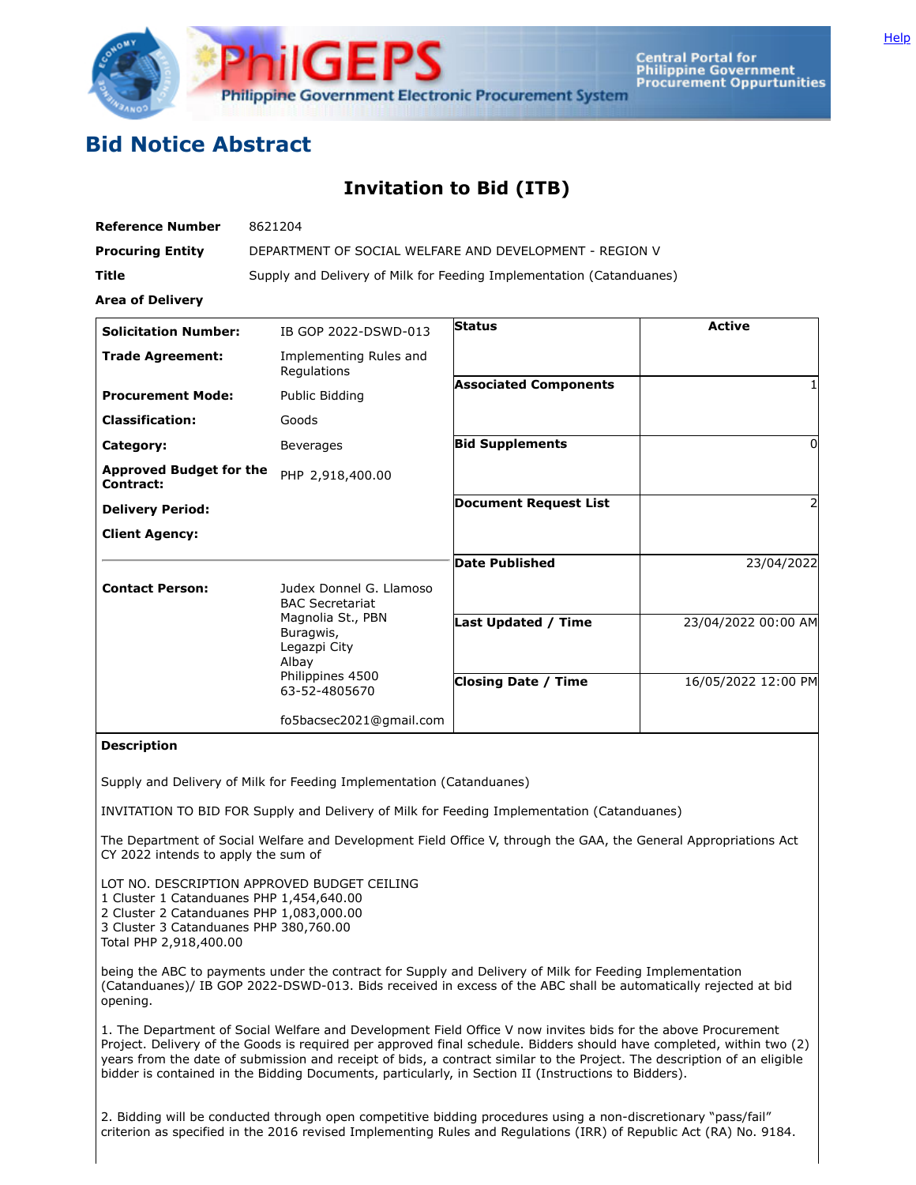

**Central Portal for<br>Philippine Government Procurement Oppurtunities** 

## **Bid Notice Abstract**

## **Invitation to Bid (ITB)**

| <b>Reference Number</b>                     | 8621204                                                                                      |                              |                     |
|---------------------------------------------|----------------------------------------------------------------------------------------------|------------------------------|---------------------|
| <b>Procuring Entity</b>                     | DEPARTMENT OF SOCIAL WELFARE AND DEVELOPMENT - REGION V                                      |                              |                     |
| Title                                       | Supply and Delivery of Milk for Feeding Implementation (Catanduanes)                         |                              |                     |
| <b>Area of Delivery</b>                     |                                                                                              |                              |                     |
| <b>Solicitation Number:</b>                 | IB GOP 2022-DSWD-013                                                                         | <b>Status</b>                | <b>Active</b>       |
| <b>Trade Agreement:</b>                     | Implementing Rules and<br>Regulations                                                        |                              |                     |
| <b>Procurement Mode:</b>                    | Public Bidding                                                                               | <b>Associated Components</b> |                     |
| <b>Classification:</b>                      | Goods                                                                                        |                              |                     |
| Category:                                   | <b>Beverages</b>                                                                             | <b>Bid Supplements</b>       | 0                   |
| <b>Approved Budget for the</b><br>Contract: | PHP 2,918,400.00                                                                             |                              |                     |
| <b>Delivery Period:</b>                     |                                                                                              | <b>Document Request List</b> | 2                   |
| <b>Client Agency:</b>                       |                                                                                              |                              |                     |
|                                             |                                                                                              | <b>Date Published</b>        | 23/04/2022          |
| <b>Contact Person:</b>                      | Judex Donnel G. Llamoso<br><b>BAC Secretariat</b>                                            |                              |                     |
|                                             | Magnolia St., PBN<br>Buragwis,<br>Legazpi City<br>Albay<br>Philippines 4500<br>63-52-4805670 | <b>Last Updated / Time</b>   | 23/04/2022 00:00 AM |
|                                             |                                                                                              | <b>Closing Date / Time</b>   | 16/05/2022 12:00 PM |
|                                             | fo5bacsec2021@gmail.com                                                                      |                              |                     |

## **Description**

Supply and Delivery of Milk for Feeding Implementation (Catanduanes)

INVITATION TO BID FOR Supply and Delivery of Milk for Feeding Implementation (Catanduanes)

The Department of Social Welfare and Development Field Office V, through the GAA, the General Appropriations Act CY 2022 intends to apply the sum of

LOT NO. DESCRIPTION APPROVED BUDGET CEILING

1 Cluster 1 Catanduanes PHP 1,454,640.00

2 Cluster 2 Catanduanes PHP 1,083,000.00

3 Cluster 3 Catanduanes PHP 380,760.00

Total PHP 2,918,400.00

being the ABC to payments under the contract for Supply and Delivery of Milk for Feeding Implementation (Catanduanes)/ IB GOP 2022-DSWD-013. Bids received in excess of the ABC shall be automatically rejected at bid opening.

1. The Department of Social Welfare and Development Field Office V now invites bids for the above Procurement Project. Delivery of the Goods is required per approved final schedule. Bidders should have completed, within two (2) years from the date of submission and receipt of bids, a contract similar to the Project. The description of an eligible bidder is contained in the Bidding Documents, particularly, in Section II (Instructions to Bidders).

2. Bidding will be conducted through open competitive bidding procedures using a non-discretionary "pass/fail" criterion as specified in the 2016 revised Implementing Rules and Regulations (IRR) of Republic Act (RA) No. 9184.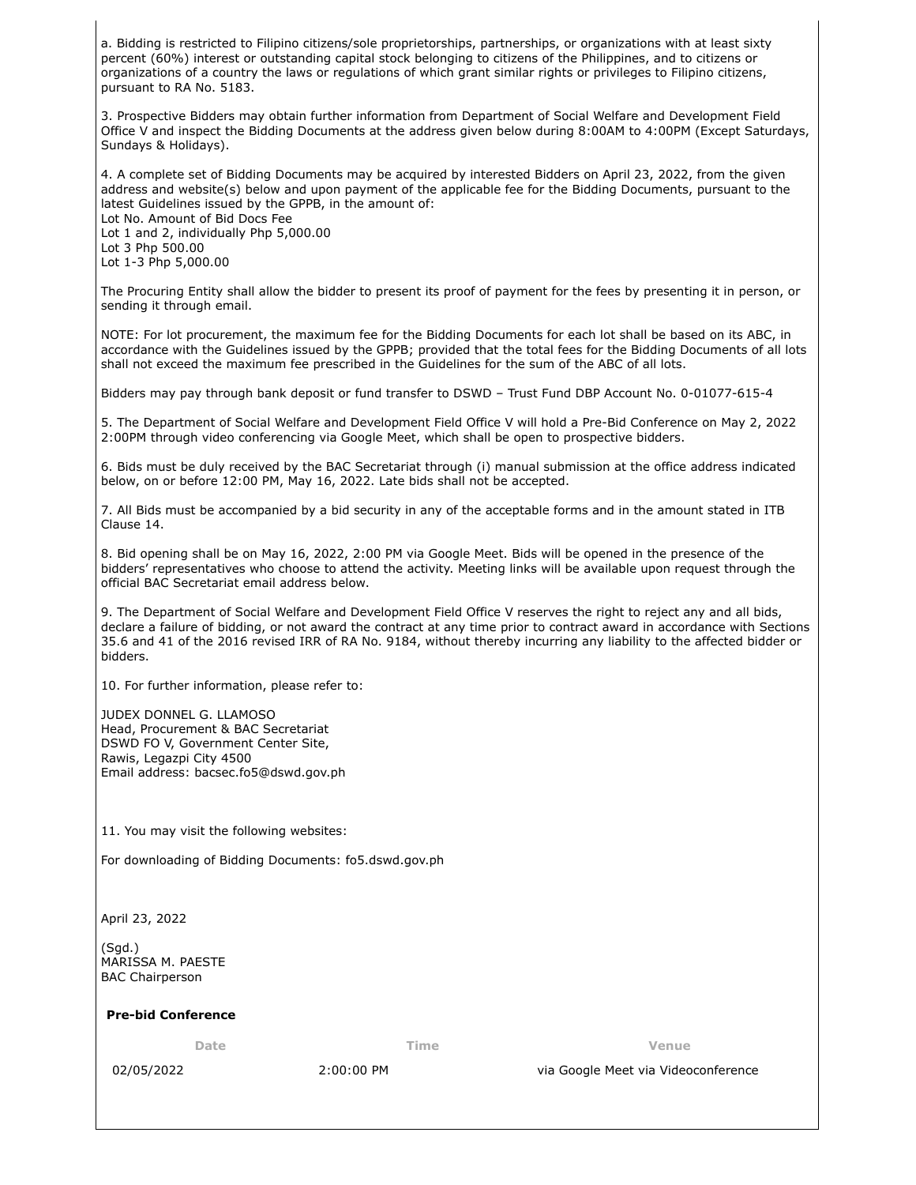a. Bidding is restricted to Filipino citizens/sole proprietorships, partnerships, or organizations with at least sixty percent (60%) interest or outstanding capital stock belonging to citizens of the Philippines, and to citizens or organizations of a country the laws or regulations of which grant similar rights or privileges to Filipino citizens, pursuant to RA No. 5183.

3. Prospective Bidders may obtain further information from Department of Social Welfare and Development Field Office V and inspect the Bidding Documents at the address given below during 8:00AM to 4:00PM (Except Saturdays, Sundays & Holidays).

4. A complete set of Bidding Documents may be acquired by interested Bidders on April 23, 2022, from the given address and website(s) below and upon payment of the applicable fee for the Bidding Documents, pursuant to the latest Guidelines issued by the GPPB, in the amount of:

Lot No. Amount of Bid Docs Fee Lot 1 and 2, individually Php 5,000.00 Lot 3 Php 500.00 Lot 1-3 Php 5,000.00

The Procuring Entity shall allow the bidder to present its proof of payment for the fees by presenting it in person, or sending it through email.

NOTE: For lot procurement, the maximum fee for the Bidding Documents for each lot shall be based on its ABC, in accordance with the Guidelines issued by the GPPB; provided that the total fees for the Bidding Documents of all lots shall not exceed the maximum fee prescribed in the Guidelines for the sum of the ABC of all lots.

Bidders may pay through bank deposit or fund transfer to DSWD – Trust Fund DBP Account No. 0-01077-615-4

5. The Department of Social Welfare and Development Field Office V will hold a Pre-Bid Conference on May 2, 2022 2:00PM through video conferencing via Google Meet, which shall be open to prospective bidders.

6. Bids must be duly received by the BAC Secretariat through (i) manual submission at the office address indicated below, on or before 12:00 PM, May 16, 2022. Late bids shall not be accepted.

7. All Bids must be accompanied by a bid security in any of the acceptable forms and in the amount stated in ITB Clause 14.

8. Bid opening shall be on May 16, 2022, 2:00 PM via Google Meet. Bids will be opened in the presence of the bidders' representatives who choose to attend the activity. Meeting links will be available upon request through the official BAC Secretariat email address below.

9. The Department of Social Welfare and Development Field Office V reserves the right to reject any and all bids, declare a failure of bidding, or not award the contract at any time prior to contract award in accordance with Sections 35.6 and 41 of the 2016 revised IRR of RA No. 9184, without thereby incurring any liability to the affected bidder or bidders.

10. For further information, please refer to:

JUDEX DONNEL G. LLAMOSO Head, Procurement & BAC Secretariat DSWD FO V, Government Center Site, Rawis, Legazpi City 4500 Email address: bacsec.fo5@dswd.gov.ph

11. You may visit the following websites:

For downloading of Bidding Documents: fo5.dswd.gov.ph

April 23, 2022

(Sgd.) MARISSA M. PAESTE BAC Chairperson

**Pre-bid Conference**

**Date Time Venue**

02/05/2022 2:00:00 PM via Google Meet via Videoconference